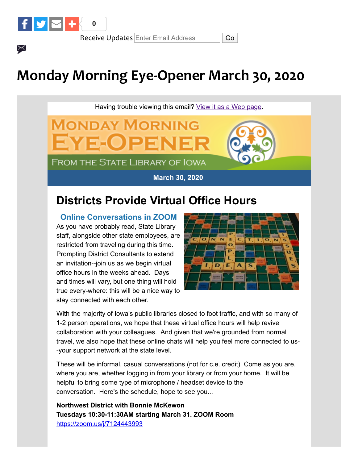

 $\times$ 

Receive Updates Enter Email Address | Go

**MONDAY MORNING** 

**FROM THE STATE LIBRARY OF IOWA** 

4 SEO ) 2

# **Monday Morning Eye-Opener March 30, 2020**

Having trouble viewing this email? [View it as a Web page.](https://content.govdelivery.com/accounts/IACIO/bulletins/283ed6c)

**March 30, 2020** 

## **Districts Provide Virtual Office Hours**

**Online Conversations in ZOOM** As you have probably read, State Library staff, alongside other state employees, are restricted from traveling during this time. Prompting District Consultants to extend an invitation--join us as we begin virtual office hours in the weeks ahead. Days and times will vary, but one thing will hold true every-where: this will be a nice way to stay connected with each other.



With the majority of Iowa's public libraries closed to foot traffic, and with so many of 1-2 person operations, we hope that these virtual office hours will help revive collaboration with your colleagues. And given that we're grounded from normal travel, we also hope that these online chats will help you feel more connected to us- -your support network at the state level.

These will be informal, casual conversations (not for c.e. credit) Come as you are, where you are, whether logging in from your library or from your home. It will be helpful to bring some type of microphone / headset device to the conversation. Here's the schedule, hope to see you...

**Northwest District with Bonnie McKewon Tuesdays 10:30-11:30AM starting March 31. ZOOM Room**  [https://zoom.us/j/7124443993](https://lnks.gd/l/eyJhbGciOiJIUzI1NiJ9.eyJidWxsZXRpbl9saW5rX2lkIjoxMDEsInVyaSI6ImJwMjpjbGljayIsImJ1bGxldGluX2lkIjoiMjAyMDAzMjcuMTk0MTI1MjEiLCJ1cmwiOiJodHRwczovL3pvb20udXMvai83MTI0NDQzOTkzP3V0bV9tZWRpdW09ZW1haWwmdXRtX3NvdXJjZT1nb3ZkZWxpdmVyeSJ9.mmw9DpuSDKXpIYYyeLyRcDmVa5_mVfW85iFcowN_XXk/br/76725867216-l?utm_medium=email&utm_source=govdelivery)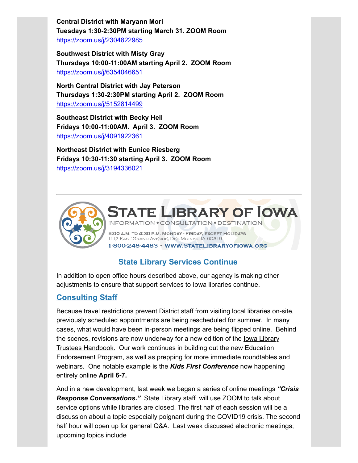**Central District with Maryann Mori Tuesdays 1:30-2:30PM starting March 31. ZOOM Room** [https://zoom.us/j/2304822985](https://lnks.gd/l/eyJhbGciOiJIUzI1NiJ9.eyJidWxsZXRpbl9saW5rX2lkIjoxMDIsInVyaSI6ImJwMjpjbGljayIsImJ1bGxldGluX2lkIjoiMjAyMDAzMjcuMTk0MTI1MjEiLCJ1cmwiOiJodHRwczovL3pvb20udXMvai8yMzA0ODIyOTg1P3V0bV9tZWRpdW09ZW1haWwmdXRtX3NvdXJjZT1nb3ZkZWxpdmVyeSJ9.bUZWB7XjD9y19cQWpbqT7B9RdT5xv6x8GdSSVjssB_g/br/76725867216-l?utm_medium=email&utm_source=govdelivery)

**Southwest District with Misty Gray Thursdays 10:00-11:00AM starting April 2. ZOOM Room** [https://zoom.us/j/6354046651](https://lnks.gd/l/eyJhbGciOiJIUzI1NiJ9.eyJidWxsZXRpbl9saW5rX2lkIjoxMDMsInVyaSI6ImJwMjpjbGljayIsImJ1bGxldGluX2lkIjoiMjAyMDAzMjcuMTk0MTI1MjEiLCJ1cmwiOiJodHRwczovL3d3dy5nb29nbGUuY29tL3VybD9xPWh0dHBzJTNBJTJGJTJGem9vbS51cyUyRmolMkY2MzU0MDQ2NjUxJTNGdXRtX21lZGl1bSUzRGVtYWlsJTI2dXRtX3NvdXJjZSUzRGdvdmRlbGl2ZXJ5JnNhPUQmdXNnPUFPdlZhdzNrc3lNakRyaFdabmlMVHhPcERCUmUmdXN0PTE1ODU2NTk2MTMxODIwMDAmdXRtX21lZGl1bT1lbWFpbCZ1dG1fc291cmNlPWdvdmRlbGl2ZXJ5In0.3mDN2wg9Z8Ug1dfiz2dr-KWCgU1473mRGjRkecbIhRw/br/76725867216-l?utm_medium=email&utm_source=govdelivery)

**North Central District with Jay Peterson Thursdays 1:30-2:30PM starting April 2. ZOOM Room** [https://zoom.us/j/5152814499](https://lnks.gd/l/eyJhbGciOiJIUzI1NiJ9.eyJidWxsZXRpbl9saW5rX2lkIjoxMDQsInVyaSI6ImJwMjpjbGljayIsImJ1bGxldGluX2lkIjoiMjAyMDAzMjcuMTk0MTI1MjEiLCJ1cmwiOiJodHRwczovL3d3dy5nb29nbGUuY29tL3VybD9xPWh0dHBzJTNBJTJGJTJGem9vbS51cyUyRmolMkY1MTUyODE0NDk5JTNGdXRtX21lZGl1bSUzRGVtYWlsJTI2dXRtX3NvdXJjZSUzRGdvdmRlbGl2ZXJ5JnNhPUQmc291cmNlPWhhbmdvdXRzJnVzZz1BRlFqQ05HZlVXVGliaHEwUkhLUVJPRW9SZHJBa1Z6d3dBJnVzdD0xNTg1MzQyNjM2Njc1MDAwJnV0bV9tZWRpdW09ZW1haWwmdXRtX3NvdXJjZT1nb3ZkZWxpdmVyeSJ9.UcigEsxxq9ZOf8cmPu8XnM68DbGo-Ef70Xadubcy4TA/br/76725867216-l?utm_medium=email&utm_source=govdelivery)

**Southeast District with Becky Heil Fridays 10:00-11:00AM. April 3. ZOOM Room** [https://zoom.us/j/4091922361](https://www.google.com/url?q=https%3A%2F%2Fzoom.us%2Fj%2F4091922361%3Futm_medium%3Demail%26utm_source%3Dgovdelivery&sa=D&source=hangouts&usg=AFQjCNHiJZy90NRx4RT7X44hjRT9Y1WzPw&ust=1585608946519000&utm_medium=email&utm_source=govdelivery)

**Northeast District with Eunice Riesberg Fridays 10:30-11:30 starting April 3. ZOOM Room** [https://zoom.us/j/3194336021](https://zoom.us/j/3194336021?utm_medium=email&utm_source=govdelivery)



**IBRARY OF IOWA** ONSULTATION . DESTINATION

8:00 A.M. TO 4:30 P.M. MONDAY - FRIDAY, EXCEPT HOLIDAYS 1112 EAST GRAND AVENUE, DES MOINES, IA 50319 1-800-248-4483 · WWW.STATELIBRARYOFIOWA.ORG

#### **State Library Services Continue**

In addition to open office hours described above, our agency is making other adjustments to ensure that support services to Iowa libraries continue.

#### **Consulting Staff**

Because travel restrictions prevent District staff from visiting local libraries on-site, previously scheduled appointments are being rescheduled for summer. In many cases, what would have been in-person meetings are being flipped online. Behind the scenes, revisions are now underway for a new edition of the lowa Library Trustees Handbook. Our work continues in building out the new Education Endorsement Program, as well as prepping for more immediate roundtables and webinars. One notable example is the *Kids First Conference* now happening entirely online **April 6-7.** 

And in a new development, last week we began a series of online meetings *"Crisis Response Conversations."* State Library staff will use ZOOM to talk about service options while libraries are closed. The first half of each session will be a discussion about a topic especially poignant during the COVID19 crisis. The second half hour will open up for general Q&A. Last week discussed electronic meetings; upcoming topics include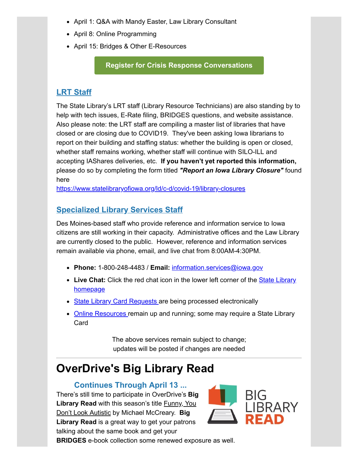- April 1: Q&A with Mandy Easter, Law Library Consultant
- April 8: Online Programming
- April 15: Bridges & Other E-Resources

#### **[Register for Crisis Response Conversations](https://statelibraryofiowa.lmscheckout.com/Course/index?utm_medium=email&utm_source=govdelivery)**

#### **LRT Staff**

The State Library's LRT staff (Library Resource Technicians) are also standing by to help with tech issues, E-Rate filing, BRIDGES questions, and website assistance. Also please note: the LRT staff are compiling a master list of libraries that have closed or are closing due to COVID19. They've been asking Iowa librarians to report on their building and staffing status: whether the building is open or closed, whether staff remains working, whether staff will continue with SILO-ILL and accepting IAShares deliveries, etc. **If you haven't yet reported this information,** please do so by completing the form titled *"Report an Iowa Library Closure"* found here

[https://www.statelibraryofiowa.org/ld/c-d/covid-19/library-closures](https://www.statelibraryofiowa.org/ld/c-d/covid-19/library-closures?utm_medium=email&utm_source=govdelivery)

#### **Specialized Library Services Staff**

Des Moines-based staff who provide reference and information service to Iowa citizens are still working in their capacity. Administrative offices and the Law Library are currently closed to the public. However, reference and information services remain available via phone, email, and live chat from 8:00AM-4:30PM.

- **Phone:** 1-800-248-4483 / **Email:** [information.services@iowa.gov](mailto:information.services@iowa.gov)
- **Live Chat:** Click the red chat icon in the lower left corner of the **State Library** homepage
- [State Library Card Requests](https://www.statelibraryofiowa.org/services/services/state-library-card?utm_medium=email&utm_source=govdelivery) are being processed electronically
- [Online Resources](https://www.statelibraryofiowa.org/services/online-resources/resources/index?utm_medium=email&utm_source=govdelivery) remain up and running; some may require a State Library Card

The above services remain subject to change; updates will be posted if changes are needed

## **OverDrive's Big Library Read**

#### **Continues Through April 13 ...**

There's still time to participate in OverDrive's **Big Library Read** with this season's title Funny, You Don't Look Autistic by Michael McCreary. **Big Library Read** is a great way to get your patrons talking about the same book and get your



**BRIDGES** e-book collection some renewed exposure as well.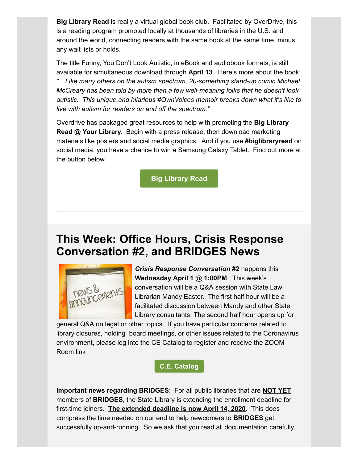**Big Library Read** is really a virtual global book club. Facilitated by OverDrive, this is a reading program promoted locally at thousands of libraries in the U.S. and around the world, connecting readers with the same book at the same time, minus any wait lists or holds.

The title Funny, You Don't Look Autistic, in eBook and audiobook formats, is still available for simultaneous download through **April 13**. Here's more about the book: *"…Like many others on the autism spectrum, 20-something stand-up comic Michael McCreary has been told by more than a few well-meaning folks that he doesn't look autistic. This unique and hilarious #OwnVoices memoir breaks down what it's like to live with autism for readers on and off the spectrum."*

Overdrive has packaged great resources to help with promoting the **Big Library Read @ Your Library.** Begin with a press release, then download marketing materials like posters and social media graphics. And if you use **#biglibraryread** on social media, you have a chance to win a Samsung Galaxy Tablet. Find out more at the button below.

**[Big Library Read](https://biglibraryread.com/?utm_medium=email&utm_source=govdelivery)**

### **This Week: Office Hours, Crisis Response Conversation #2, and BRIDGES News**



*Crisis Response Conversation* **#2** happens this **Wednesday April 1** @ **1:00PM**. This week's conversation will be a Q&A session with State Law Librarian Mandy Easter. The first half hour will be a facilitated discussion between Mandy and other State Library consultants. The second half hour opens up for

general Q&A on legal or other topics. If you have particular concerns related to library closures, holding board meetings, or other issues related to the Coronavirus environment, please log into the CE Catalog to register and receive the ZOOM Room link

**[C.E. Catalog](https://statelibraryofiowa.lmscheckout.com/Course/index?utm_medium=email&utm_source=govdelivery)**

**Important news regarding BRIDGES**: For all public libraries that are **NOT YET** members of **BRIDGES**, the State Library is extending the enrollment deadline for first-time joiners. **The extended deadline is now April 14, 2020**. This does compress the time needed on our end to help newcomers to **BRIDGES** get successfully up-and-running. So we ask that you read all documentation carefully